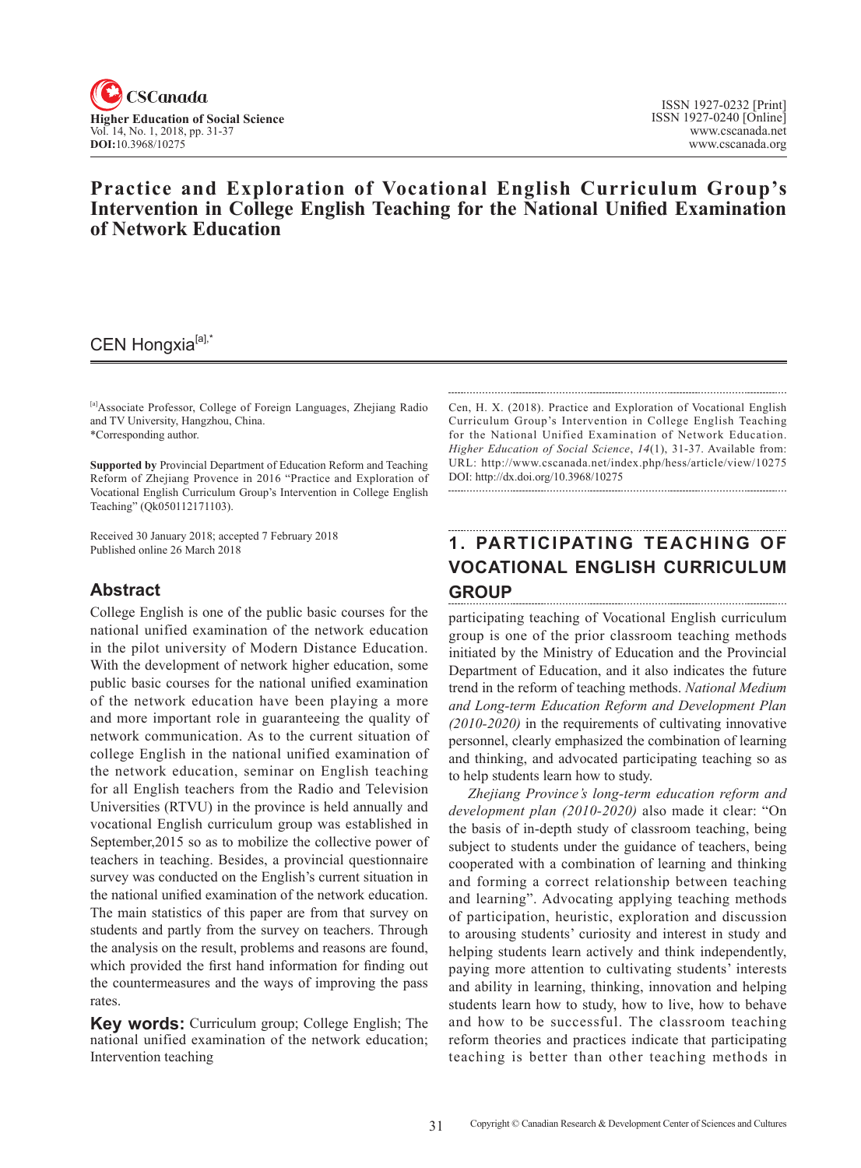

## **Practice and Exploration of Vocational English Curriculum Group's Intervention in College English Teaching for the National Unified Examination of Network Education**

## CEN Hongxia<sup>[a],\*</sup>

[a]Associate Professor, College of Foreign Languages, Zhejiang Radio and TV University, Hangzhou, China. \*Corresponding author.

**Supported by** Provincial Department of Education Reform and Teaching Reform of Zhejiang Provence in 2016 "Practice and Exploration of Vocational English Curriculum Group's Intervention in College English Teaching" (Qk050112171103).

Received 30 January 2018; accepted 7 February 2018 Published online 26 March 2018

## **Abstract**

College English is one of the public basic courses for the national unified examination of the network education in the pilot university of Modern Distance Education. With the development of network higher education, some public basic courses for the national unified examination of the network education have been playing a more and more important role in guaranteeing the quality of network communication. As to the current situation of college English in the national unified examination of the network education, seminar on English teaching for all English teachers from the Radio and Television Universities (RTVU) in the province is held annually and vocational English curriculum group was established in September,2015 so as to mobilize the collective power of teachers in teaching. Besides, a provincial questionnaire survey was conducted on the English's current situation in the national unified examination of the network education. The main statistics of this paper are from that survey on students and partly from the survey on teachers. Through the analysis on the result, problems and reasons are found, which provided the first hand information for finding out the countermeasures and the ways of improving the pass rates.

**Key words:** Curriculum group; College English; The national unified examination of the network education; Intervention teaching

Cen, H. X. (2018). Practice and Exploration of Vocational English Curriculum Group's Intervention in College English Teaching for the National Unified Examination of Network Education. *Higher Education of Social Science*, 14(1), 31-37. Available from: URL: http://www.cscanada.net/index.php/hess/article/view/10275 DOI: http://dx.doi.org/10.3968/10275

# **1. PARTICIPATING TEACHING OF VOCATIONAL ENGLISH CURRICULUM GROUP**

participating teaching of Vocational English curriculum group is one of the prior classroom teaching methods initiated by the Ministry of Education and the Provincial Department of Education, and it also indicates the future trend in the reform of teaching methods. *National Medium and Long-term Education Reform and Development Plan (2010-2020)* in the requirements of cultivating innovative personnel, clearly emphasized the combination of learning and thinking, and advocated participating teaching so as to help students learn how to study.

*Zhejiang Province's long-term education reform and development plan (2010-2020)* also made it clear: "On the basis of in-depth study of classroom teaching, being subject to students under the guidance of teachers, being cooperated with a combination of learning and thinking and forming a correct relationship between teaching and learning". Advocating applying teaching methods of participation, heuristic, exploration and discussion to arousing students' curiosity and interest in study and helping students learn actively and think independently, paying more attention to cultivating students' interests and ability in learning, thinking, innovation and helping students learn how to study, how to live, how to behave and how to be successful. The classroom teaching reform theories and practices indicate that participating teaching is better than other teaching methods in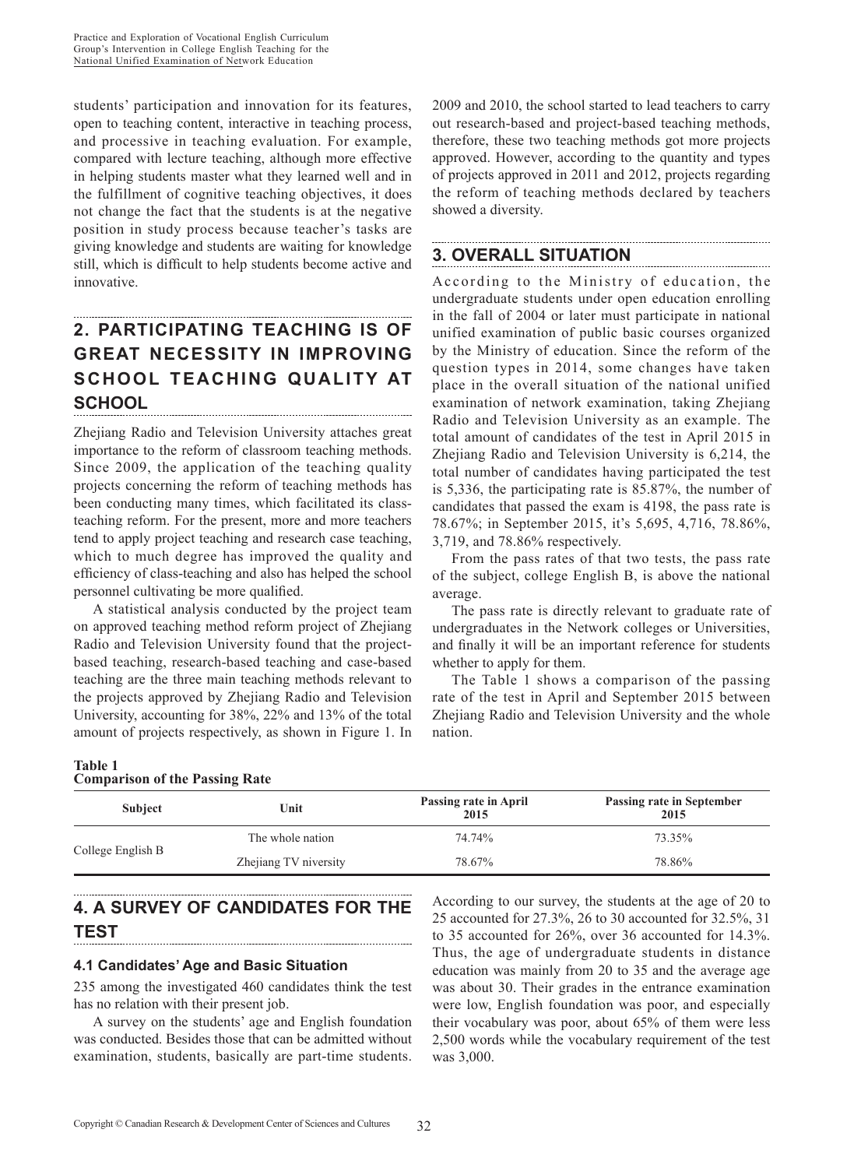students' participation and innovation for its features, open to teaching content, interactive in teaching process, and processive in teaching evaluation. For example, compared with lecture teaching, although more effective in helping students master what they learned well and in the fulfillment of cognitive teaching objectives, it does not change the fact that the students is at the negative position in study process because teacher's tasks are giving knowledge and students are waiting for knowledge still, which is difficult to help students become active and innovative.

# **2. PARTICIPATING TEACHING IS OF GREAT NECESSITY IN IMPROVING SCHOOL TEACHING QUALITY AT SCHOOL**

Zhejiang Radio and Television University attaches great importance to the reform of classroom teaching methods. Since 2009, the application of the teaching quality projects concerning the reform of teaching methods has been conducting many times, which facilitated its classteaching reform. For the present, more and more teachers tend to apply project teaching and research case teaching, which to much degree has improved the quality and efficiency of class-teaching and also has helped the school personnel cultivating be more qualified.

A statistical analysis conducted by the project team on approved teaching method reform project of Zhejiang Radio and Television University found that the projectbased teaching, research-based teaching and case-based teaching are the three main teaching methods relevant to the projects approved by Zhejiang Radio and Television University, accounting for 38%, 22% and 13% of the total amount of projects respectively, as shown in Figure 1. In 2009 and 2010, the school started to lead teachers to carry out research-based and project-based teaching methods, therefore, these two teaching methods got more projects approved. However, according to the quantity and types of projects approved in 2011 and 2012, projects regarding the reform of teaching methods declared by teachers showed a diversity.

## **3. OVERALL SITUATION**

According to the Ministry of education, the undergraduate students under open education enrolling in the fall of 2004 or later must participate in national unified examination of public basic courses organized by the Ministry of education. Since the reform of the question types in 2014, some changes have taken place in the overall situation of the national unified examination of network examination, taking Zhejiang Radio and Television University as an example. The total amount of candidates of the test in April 2015 in Zhejiang Radio and Television University is 6,214, the total number of candidates having participated the test is 5,336, the participating rate is 85.87%, the number of candidates that passed the exam is 4198, the pass rate is 78.67%; in September 2015, it's 5,695, 4,716, 78.86%, 3,719, and 78.86% respectively.

From the pass rates of that two tests, the pass rate of the subject, college English B, is above the national average.

The pass rate is directly relevant to graduate rate of undergraduates in the Network colleges or Universities, and finally it will be an important reference for students whether to apply for them.

The Table 1 shows a comparison of the passing rate of the test in April and September 2015 between Zhejiang Radio and Television University and the whole nation.

### **Table 1 Comparison of the Passing Rate**

| <b>Subject</b>    | Unit                  | Passing rate in April<br>2015 | Passing rate in September<br>2015 |
|-------------------|-----------------------|-------------------------------|-----------------------------------|
| College English B | The whole nation      | 74.74%                        | 73.35%                            |
|                   | Zhejiang TV niversity | 78.67%                        | 78.86%                            |

# **4. A SURVEY OF CANDIDATES FOR THE TEST**

## **4.1 Candidates' Age and Basic Situation**

235 among the investigated 460 candidates think the test has no relation with their present job.

A survey on the students' age and English foundation was conducted. Besides those that can be admitted without examination, students, basically are part-time students.

According to our survey, the students at the age of 20 to 25 accounted for 27.3%, 26 to 30 accounted for 32.5%, 31 to 35 accounted for 26%, over 36 accounted for 14.3%. Thus, the age of undergraduate students in distance education was mainly from 20 to 35 and the average age was about 30. Their grades in the entrance examination were low, English foundation was poor, and especially their vocabulary was poor, about 65% of them were less 2,500 words while the vocabulary requirement of the test was 3,000.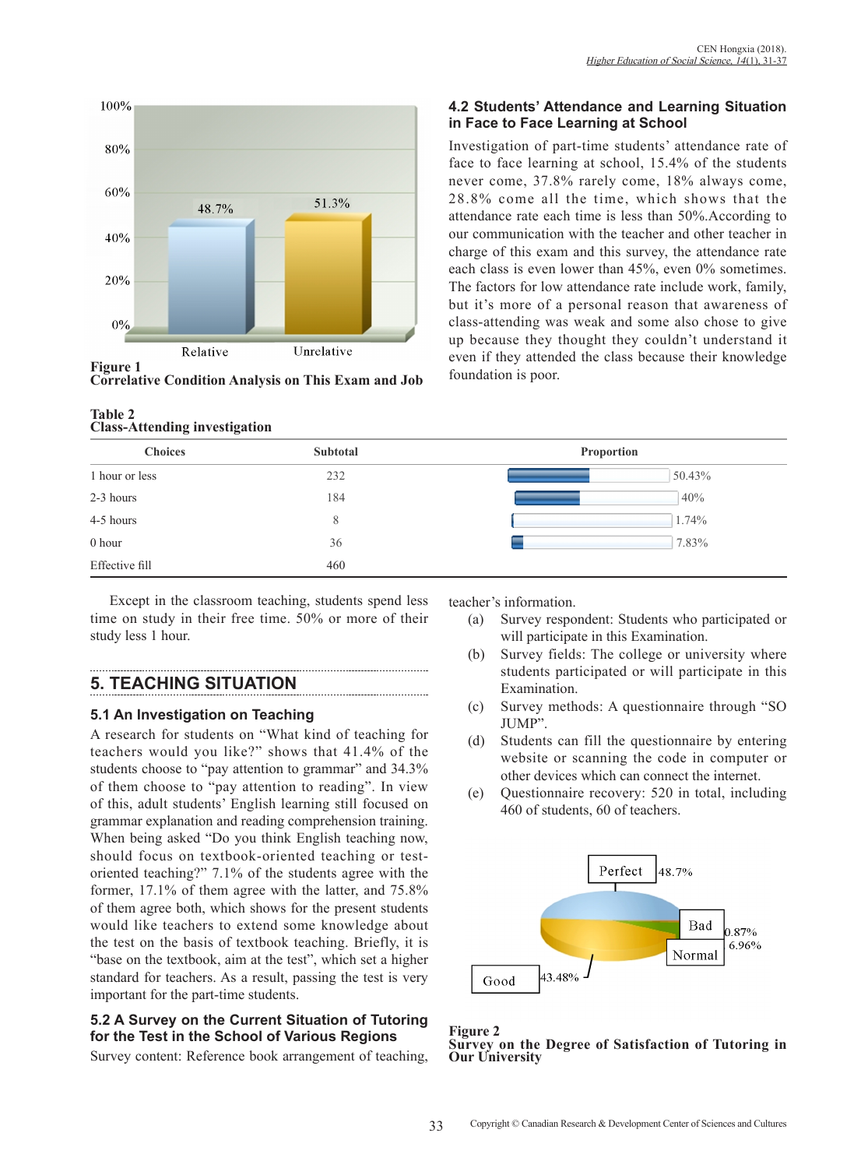

**Figure 1 Correlative Condition Analysis on This Exam and Job**

### **Table 2 Class-Attending investigation**

### **4.2 Students' Attendance and Learning Situation in Face to Face Learning at School**

Investigation of part-time students' attendance rate of face to face learning at school, 15.4% of the students never come, 37.8% rarely come, 18% always come, 28.8% come all the time, which shows that the attendance rate each time is less than 50%.According to our communication with the teacher and other teacher in charge of this exam and this survey, the attendance rate each class is even lower than 45%, even 0% sometimes. The factors for low attendance rate include work, family, but it's more of a personal reason that awareness of class-attending was weak and some also chose to give up because they thought they couldn't understand it even if they attended the class because their knowledge foundation is poor.

| <b>Choices</b> | Subtotal | Proportion |
|----------------|----------|------------|
| 1 hour or less | 232      | 50.43%     |
| 2-3 hours      | 184      | 40%        |
| 4-5 hours      | 8        | 1.74%      |
| 0 hour         | 36       | 7.83%      |
| Effective fill | 460      |            |

Except in the classroom teaching, students spend less time on study in their free time. 50% or more of their study less 1 hour.

# **5. TEACHING SITUATION**

## **5.1 An Investigation on Teaching**

A research for students on "What kind of teaching for teachers would you like?" shows that 41.4% of the students choose to "pay attention to grammar" and 34.3% of them choose to "pay attention to reading". In view of this, adult students' English learning still focused on grammar explanation and reading comprehension training. When being asked "Do you think English teaching now, should focus on textbook-oriented teaching or testoriented teaching?" 7.1% of the students agree with the former, 17.1% of them agree with the latter, and 75.8% of them agree both, which shows for the present students would like teachers to extend some knowledge about the test on the basis of textbook teaching. Briefly, it is "base on the textbook, aim at the test", which set a higher standard for teachers. As a result, passing the test is very important for the part-time students.

## **5.2 A Survey on the Current Situation of Tutoring for the Test in the School of Various Regions**

Survey content: Reference book arrangement of teaching,

teacher's information.

- (a) Survey respondent: Students who participated or will participate in this Examination.
- (b) Survey fields: The college or university where students participated or will participate in this Examination.
- (c) Survey methods: A questionnaire through "SO JUMP".
- (d) Students can fill the questionnaire by entering website or scanning the code in computer or other devices which can connect the internet.
- (e) Questionnaire recovery: 520 in total, including 460 of students, 60 of teachers.



**Figure 2 Survey on the Degree of Satisfaction of Tutoring in Our University**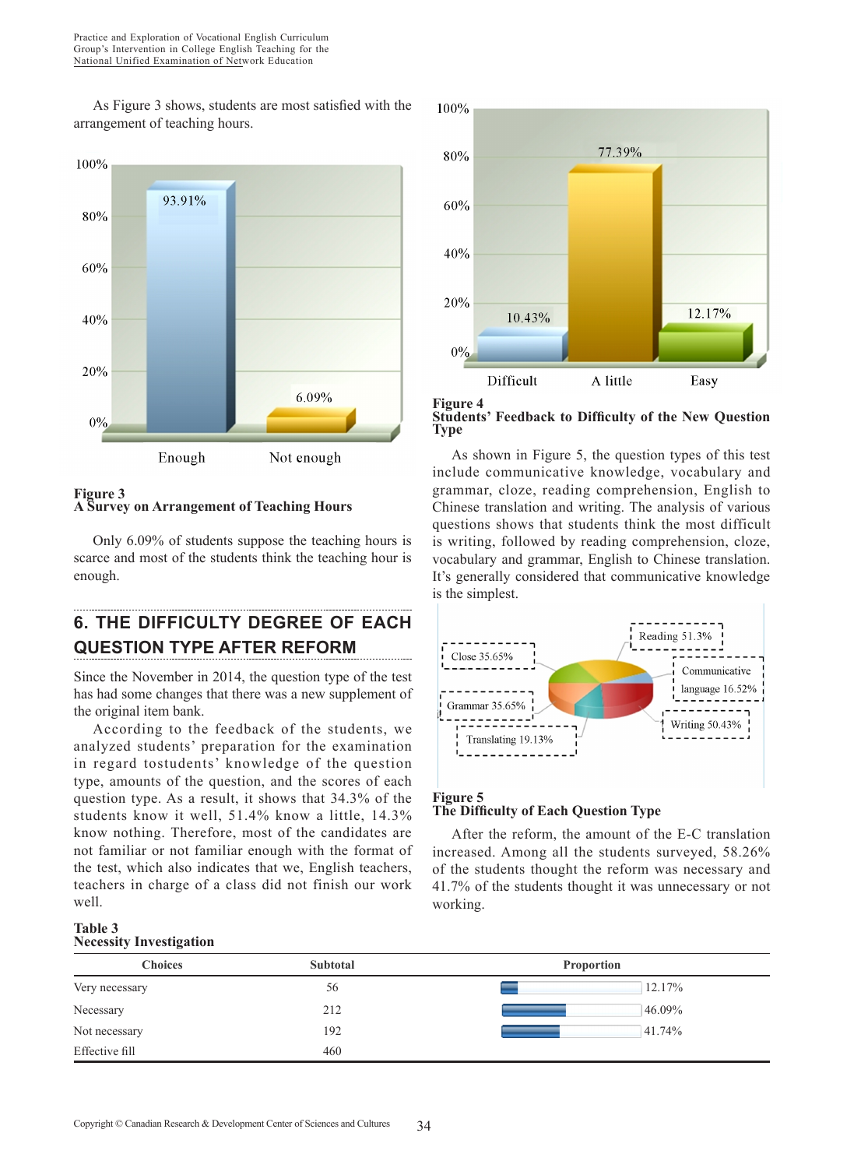As Figure 3 shows, students are most satisfied with the arrangement of teaching hours.



### **Figure 3 A Survey on Arrangement of Teaching Hours**

Only 6.09% of students suppose the teaching hours is scarce and most of the students think the teaching hour is enough.

# **6. THE DIFFICULTY DEGREE OF EACH QUESTION TYPE AFTER REFORM**

Since the November in 2014, the question type of the test has had some changes that there was a new supplement of the original item bank.

According to the feedback of the students, we analyzed students' preparation for the examination in regard tostudents' knowledge of the question type, amounts of the question, and the scores of each question type. As a result, it shows that 34.3% of the students know it well, 51.4% know a little, 14.3% know nothing. Therefore, most of the candidates are not familiar or not familiar enough with the format of the test, which also indicates that we, English teachers, teachers in charge of a class did not finish our work well.

# 100% 77.39% 80% 60% 40% 20% 12.17% 10.43%  $0%$ Difficult A little Easy

**Figure 4 Students' Feedback to Difficulty of the New Question Type** 

As shown in Figure 5, the question types of this test include communicative knowledge, vocabulary and grammar, cloze, reading comprehension, English to Chinese translation and writing. The analysis of various questions shows that students think the most difficult is writing, followed by reading comprehension, cloze, vocabulary and grammar, English to Chinese translation. It's generally considered that communicative knowledge is the simplest.



## **The Difficulty of Each Question Type**

After the reform, the amount of the E-C translation increased. Among all the students surveyed, 58.26% of the students thought the reform was necessary and 41.7% of the students thought it was unnecessary or not working.

#### **Table 3 Necessity Investigation**

| $\cdot$<br>$\sim$ |                 |                   |
|-------------------|-----------------|-------------------|
| <b>Choices</b>    | <b>Subtotal</b> | <b>Proportion</b> |
| Very necessary    | 56              | 12.17%            |
| Necessary         | 212             | 46.09%            |
| Not necessary     | 192             | 41.74%            |
| Effective fill    | 460             |                   |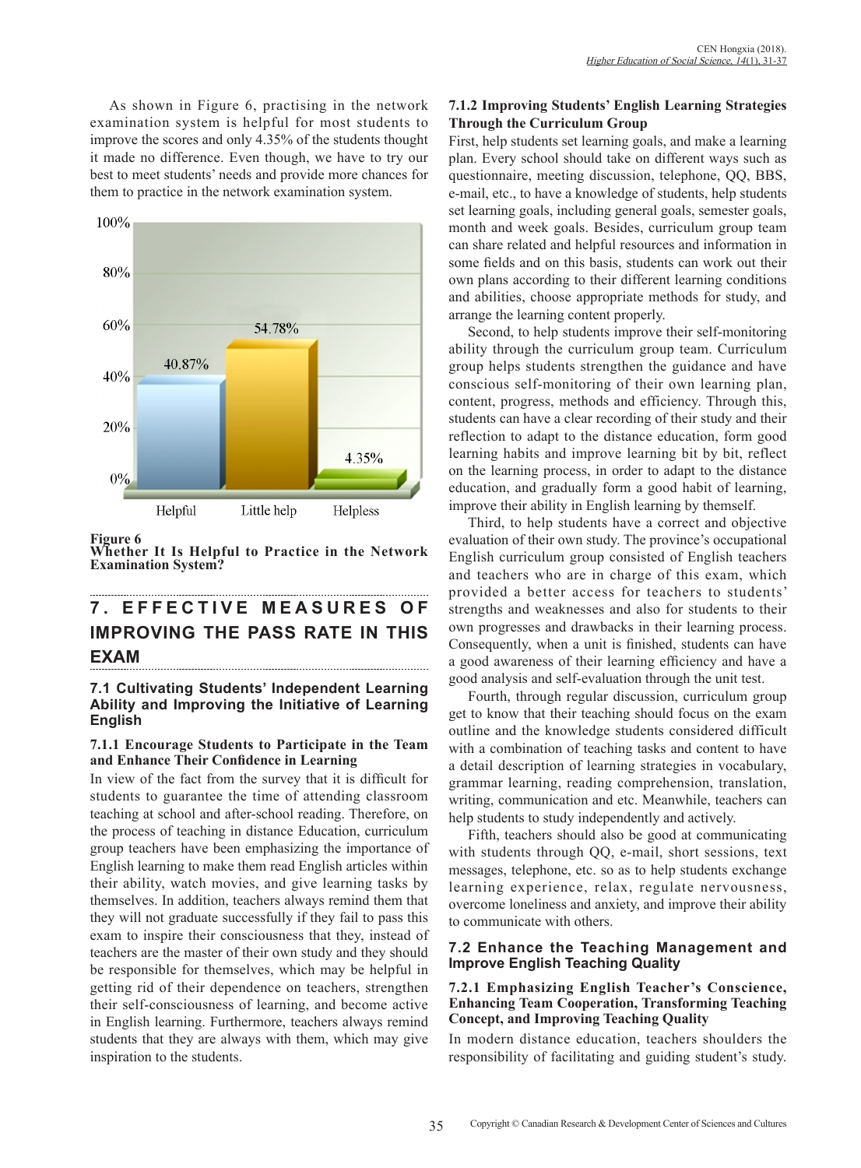As shown in Figure 6, practising in the network examination system is helpful for most students to improve the scores and only 4.35% of the students thought it made no difference. Even though, we have to try our best to meet students' needs and provide more chances for them to practice in the network examination system.



### **Figure 6**

**Whether It Is Helpful to Practice in the Network Examination System?**

# **7 . E F F E C T I V E M E A S U R E S O F IMPROVING THE PASS RATE IN THIS EXAM**

### **7.1 Cultivating Students' Independent Learning Ability and Improving the Initiative of Learning English**

### **7.1.1 Encourage Students to Participate in the Team and Enhance Their Confidence in Learning**

In view of the fact from the survey that it is difficult for students to guarantee the time of attending classroom teaching at school and after-school reading. Therefore, on the process of teaching in distance Education, curriculum group teachers have been emphasizing the importance of English learning to make them read English articles within their ability, watch movies, and give learning tasks by themselves. In addition, teachers always remind them that they will not graduate successfully if they fail to pass this exam to inspire their consciousness that they, instead of teachers are the master of their own study and they should be responsible for themselves, which may be helpful in getting rid of their dependence on teachers, strengthen their self-consciousness of learning, and become active in English learning. Furthermore, teachers always remind students that they are always with them, which may give inspiration to the students.

### **7.1.2 Improving Students' English Learning Strategies Through the Curriculum Group**

First, help students set learning goals, and make a learning plan. Every school should take on different ways such as questionnaire, meeting discussion, telephone, QQ, BBS, e-mail, etc., to have a knowledge of students, help students set learning goals, including general goals, semester goals, month and week goals. Besides, curriculum group team can share related and helpful resources and information in some fields and on this basis, students can work out their own plans according to their different learning conditions and abilities, choose appropriate methods for study, and arrange the learning content properly.

Second, to help students improve their self-monitoring ability through the curriculum group team. Curriculum group helps students strengthen the guidance and have conscious self-monitoring of their own learning plan, content, progress, methods and efficiency. Through this, students can have a clear recording of their study and their reflection to adapt to the distance education, form good learning habits and improve learning bit by bit, reflect on the learning process, in order to adapt to the distance education, and gradually form a good habit of learning, improve their ability in English learning by themself.

Third, to help students have a correct and objective evaluation of their own study. The province's occupational English curriculum group consisted of English teachers and teachers who are in charge of this exam, which provided a better access for teachers to students' strengths and weaknesses and also for students to their own progresses and drawbacks in their learning process. Consequently, when a unit is finished, students can have a good awareness of their learning efficiency and have a good analysis and self-evaluation through the unit test.

Fourth, through regular discussion, curriculum group get to know that their teaching should focus on the exam outline and the knowledge students considered difficult with a combination of teaching tasks and content to have a detail description of learning strategies in vocabulary, grammar learning, reading comprehension, translation, writing, communication and etc. Meanwhile, teachers can help students to study independently and actively.

Fifth, teachers should also be good at communicating with students through QQ, e-mail, short sessions, text messages, telephone, etc. so as to help students exchange learning experience, relax, regulate nervousness, overcome loneliness and anxiety, and improve their ability to communicate with others.

### **7.2 Enhance the Teaching Management and Improve English Teaching Quality**

### **7.2.1 Emphasizing English Teacher's Conscience, Enhancing Team Cooperation, Transforming Teaching Concept, and Improving Teaching Quality**

In modern distance education, teachers shoulders the responsibility of facilitating and guiding student's study.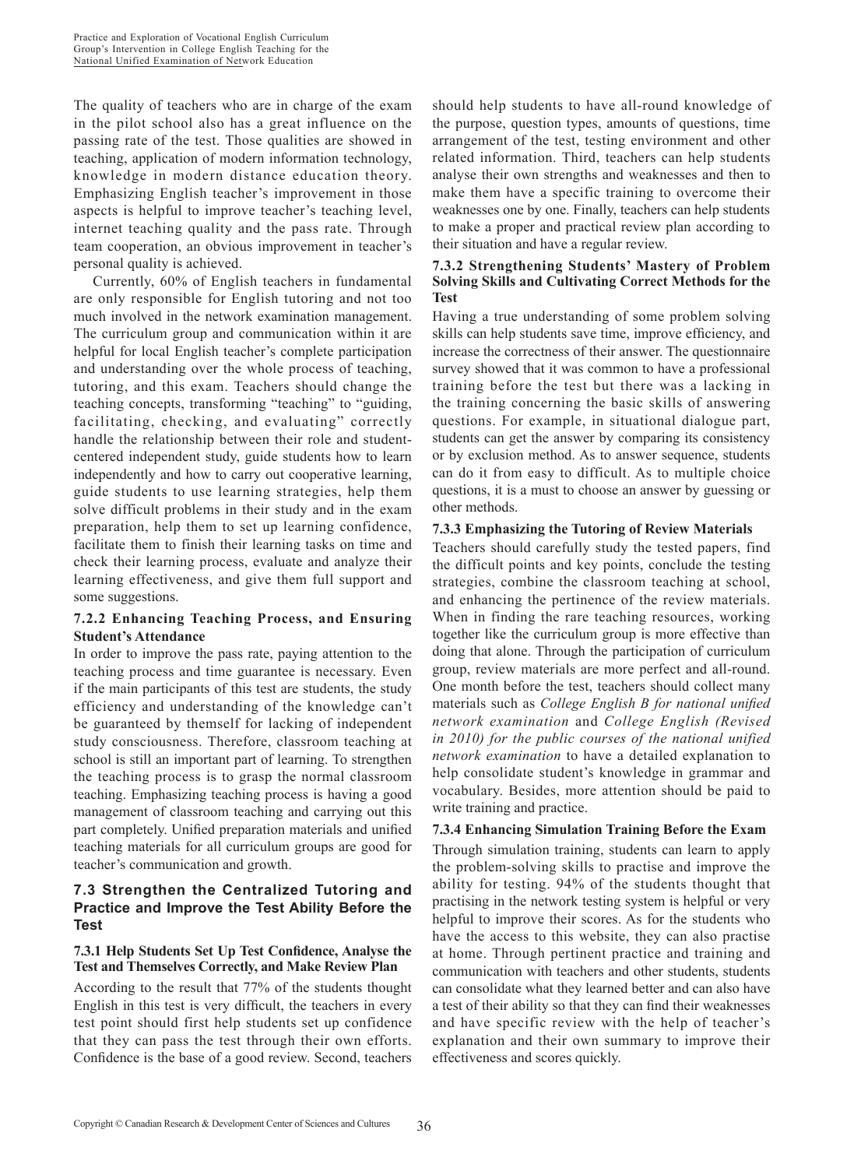The quality of teachers who are in charge of the exam in the pilot school also has a great influence on the passing rate of the test. Those qualities are showed in teaching, application of modern information technology, knowledge in modern distance education theory. Emphasizing English teacher's improvement in those aspects is helpful to improve teacher's teaching level, internet teaching quality and the pass rate. Through team cooperation, an obvious improvement in teacher's personal quality is achieved.

Currently, 60% of English teachers in fundamental are only responsible for English tutoring and not too much involved in the network examination management. The curriculum group and communication within it are helpful for local English teacher's complete participation and understanding over the whole process of teaching, tutoring, and this exam. Teachers should change the teaching concepts, transforming "teaching" to "guiding, facilitating, checking, and evaluating" correctly handle the relationship between their role and studentcentered independent study, guide students how to learn independently and how to carry out cooperative learning, guide students to use learning strategies, help them solve difficult problems in their study and in the exam preparation, help them to set up learning confidence, facilitate them to finish their learning tasks on time and check their learning process, evaluate and analyze their learning effectiveness, and give them full support and some suggestions.

## **7.2.2 Enhancing Teaching Process, and Ensuring Student's Attendance**

In order to improve the pass rate, paying attention to the teaching process and time guarantee is necessary. Even if the main participants of this test are students, the study efficiency and understanding of the knowledge can't be guaranteed by themself for lacking of independent study consciousness. Therefore, classroom teaching at school is still an important part of learning. To strengthen the teaching process is to grasp the normal classroom teaching. Emphasizing teaching process is having a good management of classroom teaching and carrying out this part completely. Unified preparation materials and unified teaching materials for all curriculum groups are good for teacher's communication and growth.

## **7.3 Strengthen the Centralized Tutoring and Practice and Improve the Test Ability Before the Test**

### **7.3.1 Help Students Set Up Test Confidence, Analyse the Test and Themselves Correctly, and Make Review Plan**

According to the result that 77% of the students thought English in this test is very difficult, the teachers in every test point should first help students set up confidence that they can pass the test through their own efforts. Confidence is the base of a good review. Second, teachers

should help students to have all-round knowledge of the purpose, question types, amounts of questions, time arrangement of the test, testing environment and other related information. Third, teachers can help students analyse their own strengths and weaknesses and then to make them have a specific training to overcome their weaknesses one by one. Finally, teachers can help students to make a proper and practical review plan according to their situation and have a regular review.

### **7.3.2 Strengthening Students' Mastery of Problem Solving Skills and Cultivating Correct Methods for the Test**

Having a true understanding of some problem solving skills can help students save time, improve efficiency, and increase the correctness of their answer. The questionnaire survey showed that it was common to have a professional training before the test but there was a lacking in the training concerning the basic skills of answering questions. For example, in situational dialogue part, students can get the answer by comparing its consistency or by exclusion method. As to answer sequence, students can do it from easy to difficult. As to multiple choice questions, it is a must to choose an answer by guessing or other methods.

## **7.3.3 Emphasizing the Tutoring of Review Materials**

Teachers should carefully study the tested papers, find the difficult points and key points, conclude the testing strategies, combine the classroom teaching at school, and enhancing the pertinence of the review materials. When in finding the rare teaching resources, working together like the curriculum group is more effective than doing that alone. Through the participation of curriculum group, review materials are more perfect and all-round. One month before the test, teachers should collect many materials such as *College English B for national unified network examination* and *College English (Revised in 2010) for the public courses of the national unified network examination* to have a detailed explanation to help consolidate student's knowledge in grammar and vocabulary. Besides, more attention should be paid to write training and practice.

### **7.3.4 Enhancing Simulation Training Before the Exam** Through simulation training, students can learn to apply the problem-solving skills to practise and improve the ability for testing. 94% of the students thought that practising in the network testing system is helpful or very helpful to improve their scores. As for the students who have the access to this website, they can also practise at home. Through pertinent practice and training and communication with teachers and other students, students can consolidate what they learned better and can also have a test of their ability so that they can find their weaknesses and have specific review with the help of teacher's explanation and their own summary to improve their effectiveness and scores quickly.